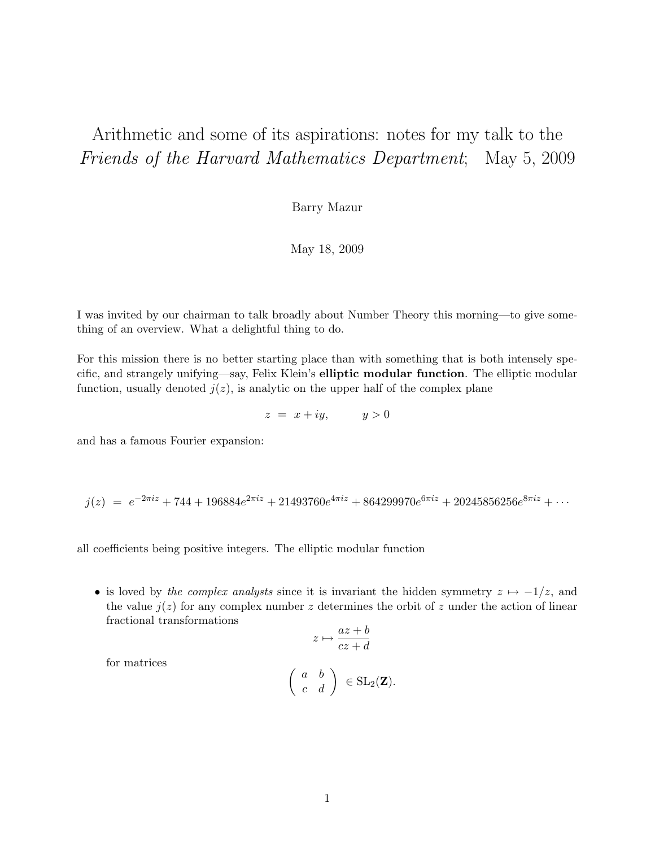# Arithmetic and some of its aspirations: notes for my talk to the Friends of the Harvard Mathematics Department; May 5, 2009

Barry Mazur

May 18, 2009

I was invited by our chairman to talk broadly about Number Theory this morning—to give something of an overview. What a delightful thing to do.

For this mission there is no better starting place than with something that is both intensely specific, and strangely unifying—say, Felix Klein's elliptic modular function. The elliptic modular function, usually denoted  $j(z)$ , is analytic on the upper half of the complex plane

 $z = x + iy$ ,  $y > 0$ 

and has a famous Fourier expansion:

$$
j(z) = e^{-2\pi i z} + 744 + 196884e^{2\pi i z} + 21493760e^{4\pi i z} + 864299970e^{6\pi i z} + 20245856256e^{8\pi i z} + \cdots
$$

all coefficients being positive integers. The elliptic modular function

• is loved by the complex analysts since it is invariant the hidden symmetry  $z \mapsto -1/z$ , and the value  $j(z)$  for any complex number z determines the orbit of z under the action of linear fractional transformations

$$
z \mapsto \frac{az+b}{cz+d}
$$

for matrices

$$
\left(\begin{array}{cc} a & b \\ c & d \end{array}\right) \in \text{SL}_2(\mathbf{Z}).
$$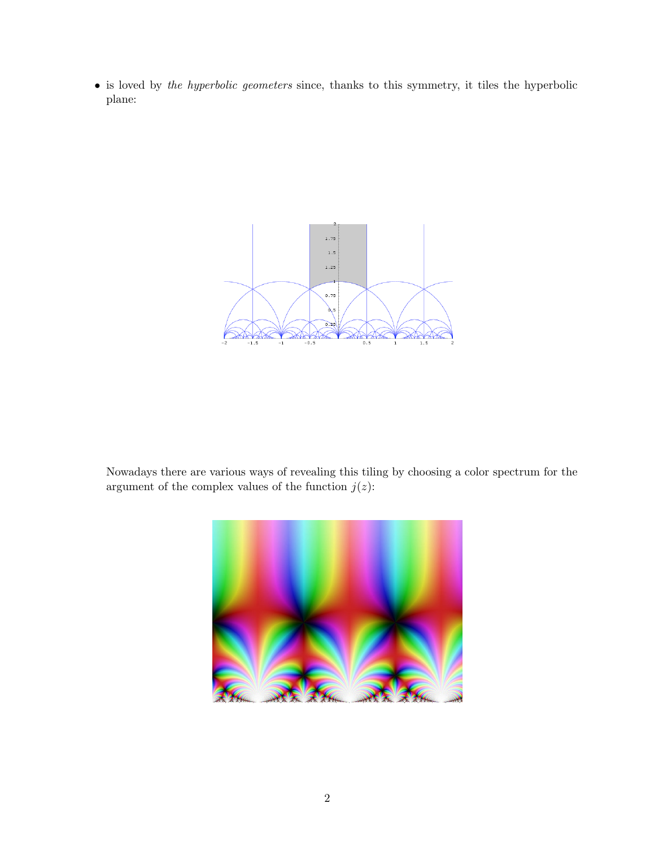• is loved by the hyperbolic geometers since, thanks to this symmetry, it tiles the hyperbolic plane:



Nowadays there are various ways of revealing this tiling by choosing a color spectrum for the argument of the complex values of the function  $j(z)$ :

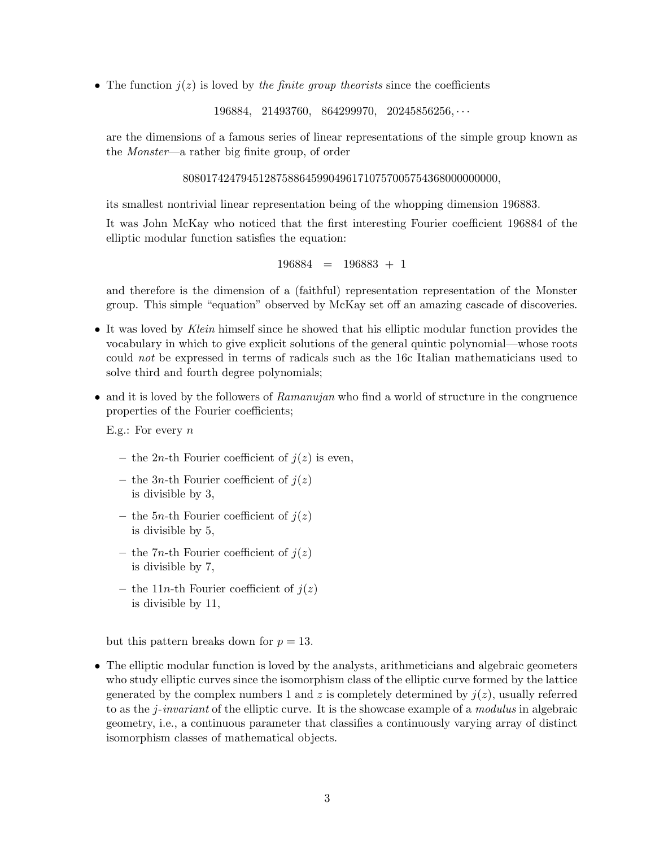• The function  $j(z)$  is loved by the finite group theorists since the coefficients

196884, 21493760, 864299970, 20245856256, · · ·

are the dimensions of a famous series of linear representations of the simple group known as the Monster—a rather big finite group, of order

808017424794512875886459904961710757005754368000000000,

its smallest nontrivial linear representation being of the whopping dimension 196883.

It was John McKay who noticed that the first interesting Fourier coefficient 196884 of the elliptic modular function satisfies the equation:

$$
196884 \ = \ 196883 \ + \ 1
$$

and therefore is the dimension of a (faithful) representation representation of the Monster group. This simple "equation" observed by McKay set off an amazing cascade of discoveries.

- It was loved by Klein himself since he showed that his elliptic modular function provides the vocabulary in which to give explicit solutions of the general quintic polynomial—whose roots could not be expressed in terms of radicals such as the 16c Italian mathematicians used to solve third and fourth degree polynomials;
- and it is loved by the followers of Ramanujan who find a world of structure in the congruence properties of the Fourier coefficients;

E.g.: For every  $n$ 

- the 2n-th Fourier coefficient of  $i(z)$  is even,
- the 3*n*-th Fourier coefficient of  $j(z)$ is divisible by 3,
- the 5*n*-th Fourier coefficient of  $j(z)$ is divisible by 5,
- the 7*n*-th Fourier coefficient of  $j(z)$ is divisible by 7,
- the 11n-th Fourier coefficient of  $i(z)$ is divisible by 11,

but this pattern breaks down for  $p = 13$ .

• The elliptic modular function is loved by the analysts, arithmeticians and algebraic geometers who study elliptic curves since the isomorphism class of the elliptic curve formed by the lattice generated by the complex numbers 1 and z is completely determined by  $j(z)$ , usually referred to as the j-invariant of the elliptic curve. It is the showcase example of a modulus in algebraic geometry, i.e., a continuous parameter that classifies a continuously varying array of distinct isomorphism classes of mathematical objects.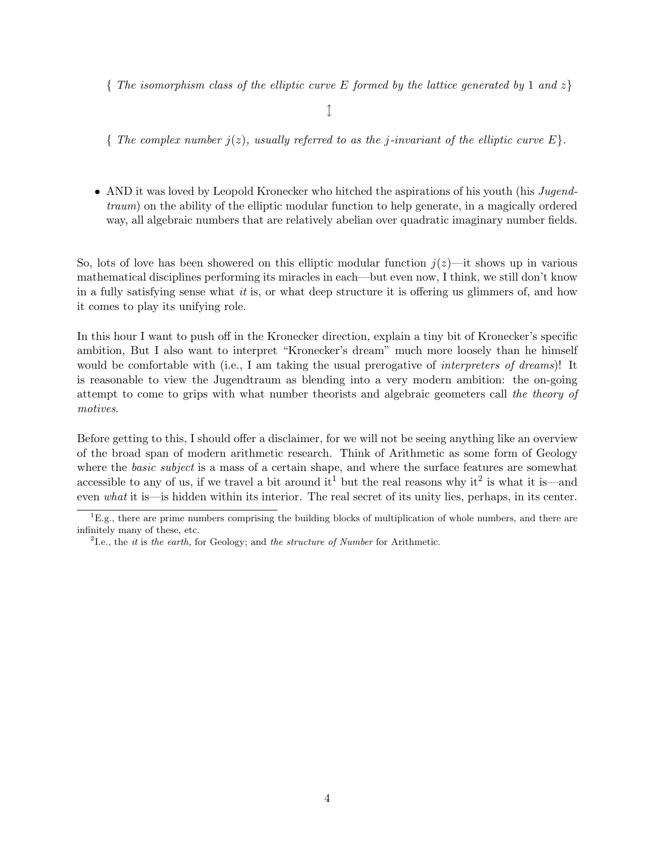{ The isomorphism class of the elliptic curve E formed by the lattice generated by 1 and  $z$ }

 $\downarrow$ 

{ The complex number  $j(z)$ , usually referred to as the j-invariant of the elliptic curve  $E$ }.

• AND it was loved by Leopold Kronecker who hitched the aspirations of his youth (his Jugendtraum) on the ability of the elliptic modular function to help generate, in a magically ordered way, all algebraic numbers that are relatively abelian over quadratic imaginary number fields.

So, lots of love has been showered on this elliptic modular function  $j(z)$ —it shows up in various mathematical disciplines performing its miracles in each—but even now, I think, we still don't know in a fully satisfying sense what it is, or what deep structure it is offering us glimmers of, and how it comes to play its unifying role.

In this hour I want to push off in the Kronecker direction, explain a tiny bit of Kronecker's specific ambition, But I also want to interpret "Kronecker's dream" much more loosely than he himself would be comfortable with (i.e., I am taking the usual prerogative of *interpreters of dreams*)! It is reasonable to view the Jugendtraum as blending into a very modern ambition: the on-going attempt to come to grips with what number theorists and algebraic geometers call the theory of motives.

Before getting to this, I should offer a disclaimer, for we will not be seeing anything like an overview of the broad span of modern arithmetic research. Think of Arithmetic as some form of Geology where the *basic subject* is a mass of a certain shape, and where the surface features are somewhat accessible to any of us, if we travel a bit around it<sup>1</sup> but the real reasons why it<sup>2</sup> is what it is—and even what it is—is hidden within its interior. The real secret of its unity lies, perhaps, in its center.

 ${}^{1}E.g.,$  there are prime numbers comprising the building blocks of multiplication of whole numbers, and there are infinitely many of these, etc.

<sup>&</sup>lt;sup>2</sup>I.e., the *it* is the earth, for Geology; and the structure of Number for Arithmetic.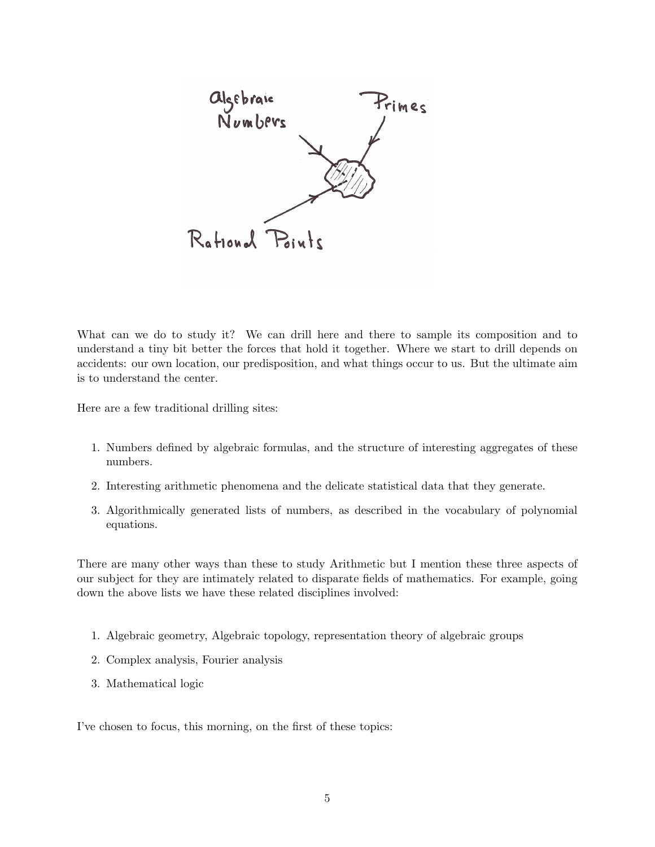

What can we do to study it? We can drill here and there to sample its composition and to understand a tiny bit better the forces that hold it together. Where we start to drill depends on accidents: our own location, our predisposition, and what things occur to us. But the ultimate aim is to understand the center.

Here are a few traditional drilling sites:

- 1. Numbers defined by algebraic formulas, and the structure of interesting aggregates of these numbers.
- 2. Interesting arithmetic phenomena and the delicate statistical data that they generate.
- 3. Algorithmically generated lists of numbers, as described in the vocabulary of polynomial equations.

There are many other ways than these to study Arithmetic but I mention these three aspects of our subject for they are intimately related to disparate fields of mathematics. For example, going down the above lists we have these related disciplines involved:

- 1. Algebraic geometry, Algebraic topology, representation theory of algebraic groups
- 2. Complex analysis, Fourier analysis
- 3. Mathematical logic

I've chosen to focus, this morning, on the first of these topics: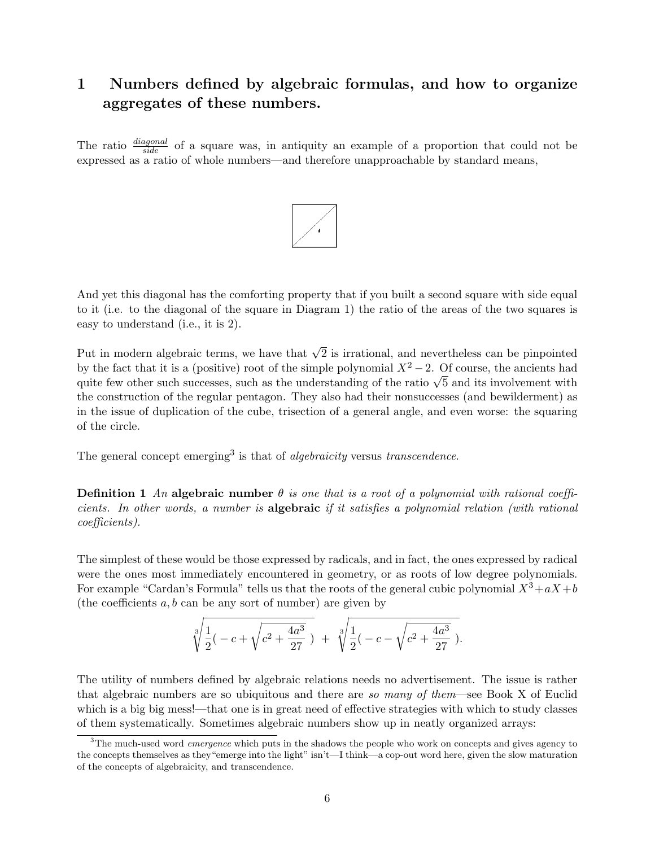### 1 Numbers defined by algebraic formulas, and how to organize aggregates of these numbers.

The ratio  $\frac{diagonal}{side}$  of a square was, in antiquity an example of a proportion that could not be expressed as a ratio of whole numbers—and therefore unapproachable by standard means,



And yet this diagonal has the comforting property that if you built a second square with side equal to it (i.e. to the diagonal of the square in Diagram 1) the ratio of the areas of the two squares is easy to understand (i.e., it is 2).

Put in modern algebraic terms, we have that  $\sqrt{2}$  is irrational, and nevertheless can be pinpointed by the fact that it is a (positive) root of the simple polynomial  $X^2 - 2$ . Of course, the ancients had by the fact that it is a (positive) root of the simple polynomial  $X^2 - 2$ . Of course, the ancients had quite few other such successes, such as the understanding of the ratio  $\sqrt{5}$  and its involvement with the construction of the regular pentagon. They also had their nonsuccesses (and bewilderment) as in the issue of duplication of the cube, trisection of a general angle, and even worse: the squaring of the circle.

The general concept emerging<sup>3</sup> is that of *algebraicity* versus transcendence.

**Definition 1** An algebraic number  $\theta$  is one that is a root of a polynomial with rational coefficients. In other words, a number is algebraic if it satisfies a polynomial relation (with rational coefficients).

The simplest of these would be those expressed by radicals, and in fact, the ones expressed by radical were the ones most immediately encountered in geometry, or as roots of low degree polynomials. For example "Cardan's Formula" tells us that the roots of the general cubic polynomial  $X^3+aX+b$ (the coefficients  $a, b$  can be any sort of number) are given by

$$
\sqrt[3]{\frac{1}{2}(-c+\sqrt{c^2+\frac{4a^3}{27}})} + \sqrt[3]{\frac{1}{2}(-c-\sqrt{c^2+\frac{4a^3}{27}})}.
$$

The utility of numbers defined by algebraic relations needs no advertisement. The issue is rather that algebraic numbers are so ubiquitous and there are so many of them—see Book X of Euclid which is a big big mess!—that one is in great need of effective strategies with which to study classes of them systematically. Sometimes algebraic numbers show up in neatly organized arrays:

 $3$ The much-used word *emergence* which puts in the shadows the people who work on concepts and gives agency to the concepts themselves as they"emerge into the light" isn't—I think—a cop-out word here, given the slow maturation of the concepts of algebraicity, and transcendence.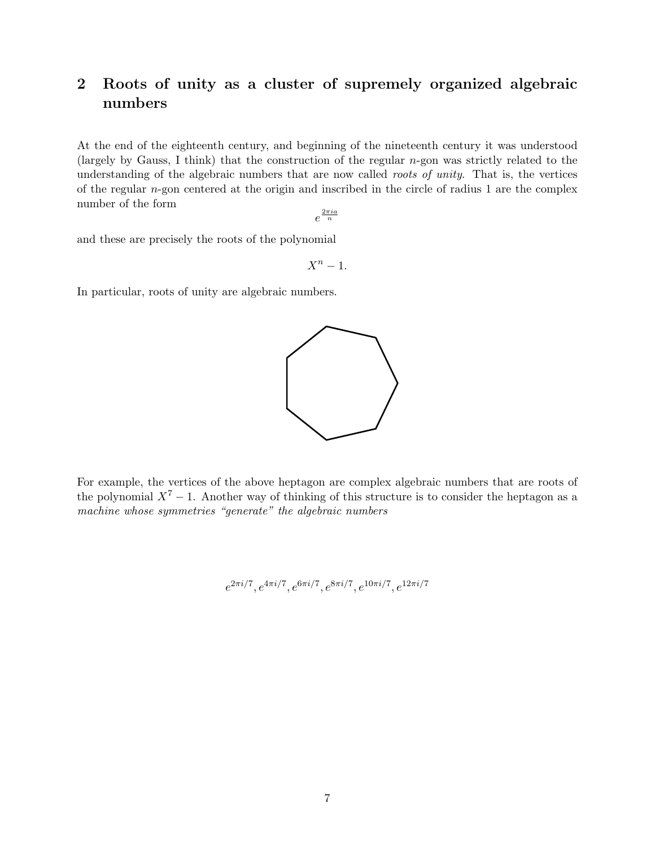## 2 Roots of unity as a cluster of supremely organized algebraic numbers

At the end of the eighteenth century, and beginning of the nineteenth century it was understood (largely by Gauss, I think) that the construction of the regular  $n$ -gon was strictly related to the understanding of the algebraic numbers that are now called roots of unity. That is, the vertices of the regular n-gon centered at the origin and inscribed in the circle of radius 1 are the complex number of the form

 $e^{\frac{2\pi i a}{n}}$ 

and these are precisely the roots of the polynomial

 $X^n-1$ .

In particular, roots of unity are algebraic numbers.



http://upload.wikimedia.org/wikipedia/commons/9/93/Regular\_... For example, the vertices of the above heptagon are complex algebraic numbers that are roots of the polynomial  $X^7 - 1$ . Another way of thinking of this structure is to consider the heptagon as a machine whose symmetries "generate" the algebraic numbers

 $e^{2\pi i/7}, e^{4\pi i/7}, e^{6\pi i/7}, e^{8\pi i/7}, e^{10\pi i/7}, e^{12\pi i/7}$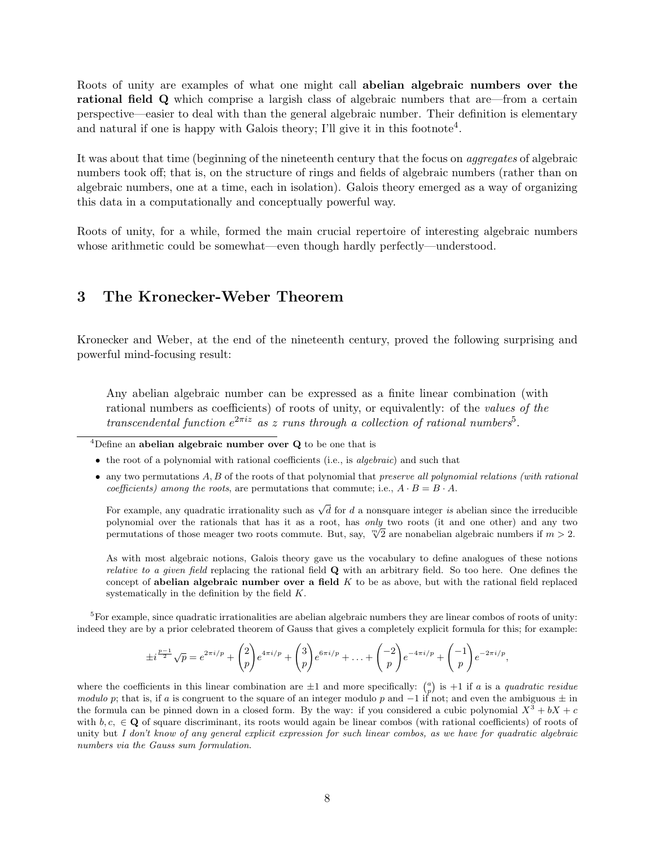Roots of unity are examples of what one might call abelian algebraic numbers over the rational field Q which comprise a largish class of algebraic numbers that are—from a certain perspective—easier to deal with than the general algebraic number. Their definition is elementary and natural if one is happy with Galois theory; I'll give it in this footnote<sup>4</sup>.

It was about that time (beginning of the nineteenth century that the focus on aggregates of algebraic numbers took off; that is, on the structure of rings and fields of algebraic numbers (rather than on algebraic numbers, one at a time, each in isolation). Galois theory emerged as a way of organizing this data in a computationally and conceptually powerful way.

Roots of unity, for a while, formed the main crucial repertoire of interesting algebraic numbers whose arithmetic could be somewhat—even though hardly perfectly—understood.

#### 3 The Kronecker-Weber Theorem

Kronecker and Weber, at the end of the nineteenth century, proved the following surprising and powerful mind-focusing result:

Any abelian algebraic number can be expressed as a finite linear combination (with rational numbers as coefficients) of roots of unity, or equivalently: of the values of the transcendental function  $e^{2\pi i z}$  as z runs through a collection of rational numbers<sup>5</sup>.

 $\overline{4}$ Define an abelian algebraic number over Q to be one that is

- $\bullet$  the root of a polynomial with rational coefficients (i.e., is algebraic) and such that
- $\bullet$  any two permutations  $A, B$  of the roots of that polynomial that preserve all polynomial relations (with rational coefficients) among the roots, are permutations that commute; i.e.,  $A \cdot B = B \cdot A$ .

For example, any quadratic irrationality such as  $\sqrt{d}$  for d a nonsquare integer is abelian since the irreducible polynomial over the rationals that has it as a root, has only two roots (it and one other) and any two polynomial over the rationals that has it as a root, has *only* two roots (it and one other) and any two<br>permutations of those meager two roots commute. But, say,  $\sqrt[m]{2}$  are nonabelian algebraic numbers if  $m > 2$ .

As with most algebraic notions, Galois theory gave us the vocabulary to define analogues of these notions *relative to a given field replacing the rational field*  $Q$  *with an arbitrary field. So too here. One defines the* concept of abelian algebraic number over a field  $K$  to be as above, but with the rational field replaced systematically in the definition by the field K.

<sup>5</sup>For example, since quadratic irrationalities are abelian algebraic numbers they are linear combos of roots of unity: indeed they are by a prior celebrated theorem of Gauss that gives a completely explicit formula for this; for example:

$$
\pm i^{\frac{p-1}{2}}\sqrt{p} = e^{2\pi i/p} + {2 \choose p}e^{4\pi i/p} + {3 \choose p}e^{6\pi i/p} + \ldots + {2 \choose p}e^{-4\pi i/p} + {-1 \choose p}e^{-2\pi i/p},
$$

where the coefficients in this linear combination are  $\pm 1$  and more specifically:  $\binom{a}{p}$  is  $+1$  if a is a quadratic residue modulo p; that is, if a is congruent to the square of an integer modulo p and  $-1$  if not; and even the ambiguous  $\pm$  in the formula can be pinned down in a closed form. By the way: if you considered a cubic polynomial  $X^3 + bX + c$ with  $b, c, \in \mathbf{Q}$  of square discriminant, its roots would again be linear combos (with rational coefficients) of roots of unity but I don't know of any general explicit expression for such linear combos, as we have for quadratic algebraic numbers via the Gauss sum formulation.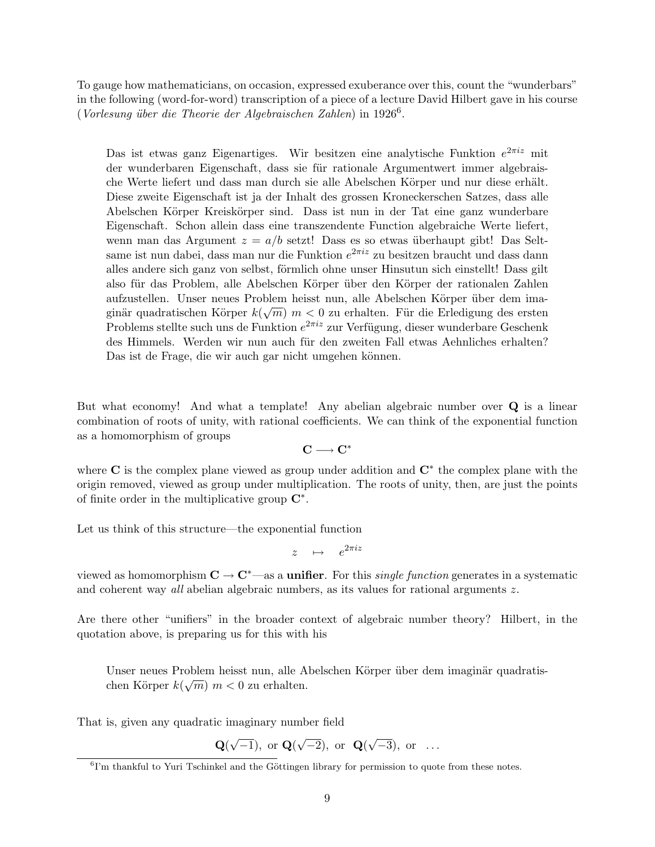To gauge how mathematicians, on occasion, expressed exuberance over this, count the "wunderbars" in the following (word-for-word) transcription of a piece of a lecture David Hilbert gave in his course (Vorlesung über die Theorie der Algebraischen Zahlen) in 1926<sup>6</sup>.

Das ist etwas ganz Eigenartiges. Wir besitzen eine analytische Funktion  $e^{2\pi i z}$  mit der wunderbaren Eigenschaft, dass sie für rationale Argumentwert immer algebraische Werte liefert und dass man durch sie alle Abelschen Körper und nur diese erhält. Diese zweite Eigenschaft ist ja der Inhalt des grossen Kroneckerschen Satzes, dass alle Abelschen Körper Kreiskörper sind. Dass ist nun in der Tat eine ganz wunderbare Eigenschaft. Schon allein dass eine transzendente Function algebraiche Werte liefert, wenn man das Argument  $z = a/b$  setzt! Dass es so etwas überhaupt gibt! Das Seltsame ist nun dabei, dass man nur die Funktion  $e^{2\pi i z}$  zu besitzen braucht und dass dann alles andere sich ganz von selbst, förmlich ohne unser Hinsutun sich einstellt! Dass gilt also für das Problem, alle Abelschen Körper über den Körper der rationalen Zahlen aufzustellen. Unser neues Problem heisst nun, alle Abelschen Körper über dem imaginär quadratischen Körper  $k(\sqrt{m})$   $m < 0$  zu erhalten. Für die Erledigung des ersten Problems stellte such uns de Funktion  $e^{2\pi i z}$  zur Verfügung, dieser wunderbare Geschenk des Himmels. Werden wir nun auch für den zweiten Fall etwas Aehnliches erhalten? Das ist de Frage, die wir auch gar nicht umgehen können.

But what economy! And what a template! Any abelian algebraic number over Q is a linear combination of roots of unity, with rational coefficients. We can think of the exponential function as a homomorphism of groups

$$
\mathbf{C} \longrightarrow \mathbf{C}^*
$$

where  $C$  is the complex plane viewed as group under addition and  $C^*$  the complex plane with the origin removed, viewed as group under multiplication. The roots of unity, then, are just the points of finite order in the multiplicative group  $\mathbb{C}^*$ .

Let us think of this structure—the exponential function

$$
z \quad \mapsto \quad e^{2\pi i z}
$$

viewed as homomorphism  $C \to C^*$ —as a **unifier**. For this *single function* generates in a systematic and coherent way all abelian algebraic numbers, as its values for rational arguments z.

Are there other "unifiers" in the broader context of algebraic number theory? Hilbert, in the quotation above, is preparing us for this with his

Unser neues Problem heisst nun, alle Abelschen Körper über dem imaginär quadratischen Körper  $k(\sqrt{m})$  m < 0 zu erhalten.

That is, given any quadratic imaginary number field

$$
\mathbf{Q}(\sqrt{-1}), \text{ or } \mathbf{Q}(\sqrt{-2}), \text{ or } \mathbf{Q}(\sqrt{-3}), \text{ or } \dots
$$

<sup>&</sup>lt;sup>6</sup>I'm thankful to Yuri Tschinkel and the Göttingen library for permission to quote from these notes.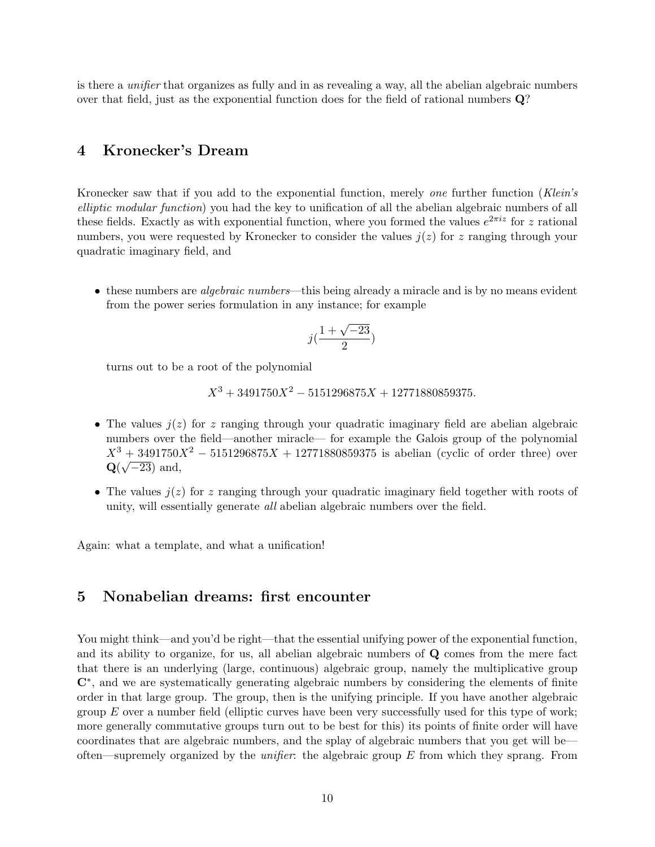is there a unifier that organizes as fully and in as revealing a way, all the abelian algebraic numbers over that field, just as the exponential function does for the field of rational numbers Q?

#### 4 Kronecker's Dream

Kronecker saw that if you add to the exponential function, merely one further function (Klein's elliptic modular function) you had the key to unification of all the abelian algebraic numbers of all these fields. Exactly as with exponential function, where you formed the values  $e^{2\pi i z}$  for z rational numbers, you were requested by Kronecker to consider the values  $j(z)$  for z ranging through your quadratic imaginary field, and

• these numbers are *algebraic numbers*—this being already a miracle and is by no means evident from the power series formulation in any instance; for example

$$
j(\frac{1+\sqrt{-23}}{2})
$$

turns out to be a root of the polynomial

 $X^3 + 3491750X^2 - 5151296875X + 12771880859375.$ 

- The values  $j(z)$  for z ranging through your quadratic imaginary field are abelian algebraic numbers over the field—another miracle— for example the Galois group of the polynomial  $X^3 + 3491750X^2 - 5151296875X + 12771880859375$  is abelian (cyclic of order three) over  $\mathbf{Q}(\sqrt{-23})$  and,
- The values  $j(z)$  for z ranging through your quadratic imaginary field together with roots of unity, will essentially generate all abelian algebraic numbers over the field.

Again: what a template, and what a unification!

#### 5 Nonabelian dreams: first encounter

You might think—and you'd be right—that the essential unifying power of the exponential function, and its ability to organize, for us, all abelian algebraic numbers of Q comes from the mere fact that there is an underlying (large, continuous) algebraic group, namely the multiplicative group C<sup>∗</sup>, and we are systematically generating algebraic numbers by considering the elements of finite order in that large group. The group, then is the unifying principle. If you have another algebraic group  $E$  over a number field (elliptic curves have been very successfully used for this type of work; more generally commutative groups turn out to be best for this) its points of finite order will have coordinates that are algebraic numbers, and the splay of algebraic numbers that you get will be often—supremely organized by the *unifier*: the algebraic group  $E$  from which they sprang. From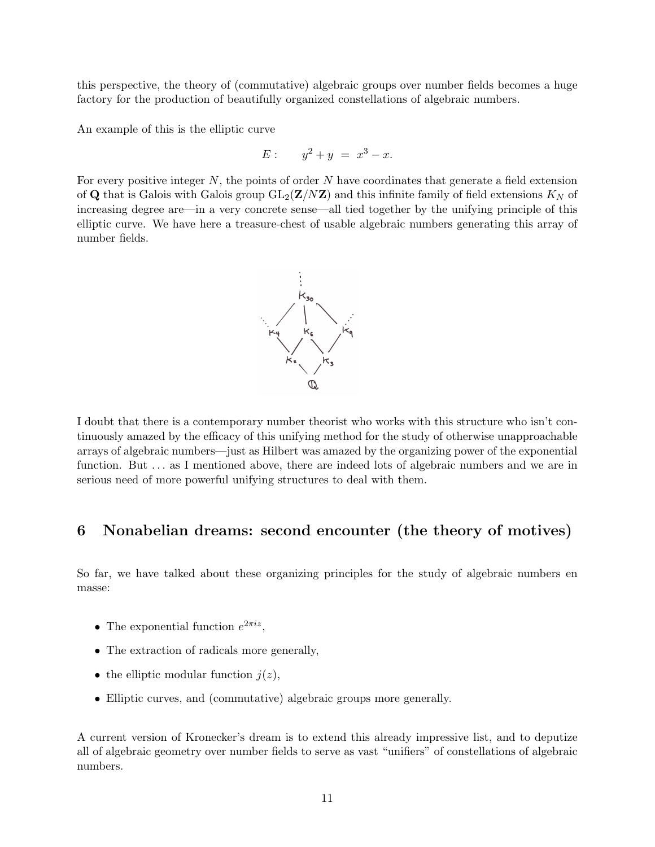this perspective, the theory of (commutative) algebraic groups over number fields becomes a huge factory for the production of beautifully organized constellations of algebraic numbers.

An example of this is the elliptic curve

$$
E: \qquad y^2 + y = x^3 - x.
$$

For every positive integer  $N$ , the points of order  $N$  have coordinates that generate a field extension of Q that is Galois with Galois group  $GL_2(\mathbf{Z}/N\mathbf{Z})$  and this infinite family of field extensions  $K_N$  of increasing degree are—in a very concrete sense—all tied together by the unifying principle of this elliptic curve. We have here a treasure-chest of usable algebraic numbers generating this array of number fields.



I doubt that there is a contemporary number theorist who works with this structure who isn't continuously amazed by the efficacy of this unifying method for the study of otherwise unapproachable arrays of algebraic numbers—just as Hilbert was amazed by the organizing power of the exponential function. But  $\ldots$  as I mentioned above, there are indeed lots of algebraic numbers and we are in serious need of more powerful unifying structures to deal with them.

#### 6 Nonabelian dreams: second encounter (the theory of motives)

So far, we have talked about these organizing principles for the study of algebraic numbers en masse:

- The exponential function  $e^{2\pi i z}$ ,
- The extraction of radicals more generally,
- the elliptic modular function  $j(z)$ ,
- Elliptic curves, and (commutative) algebraic groups more generally.

A current version of Kronecker's dream is to extend this already impressive list, and to deputize all of algebraic geometry over number fields to serve as vast "unifiers" of constellations of algebraic numbers.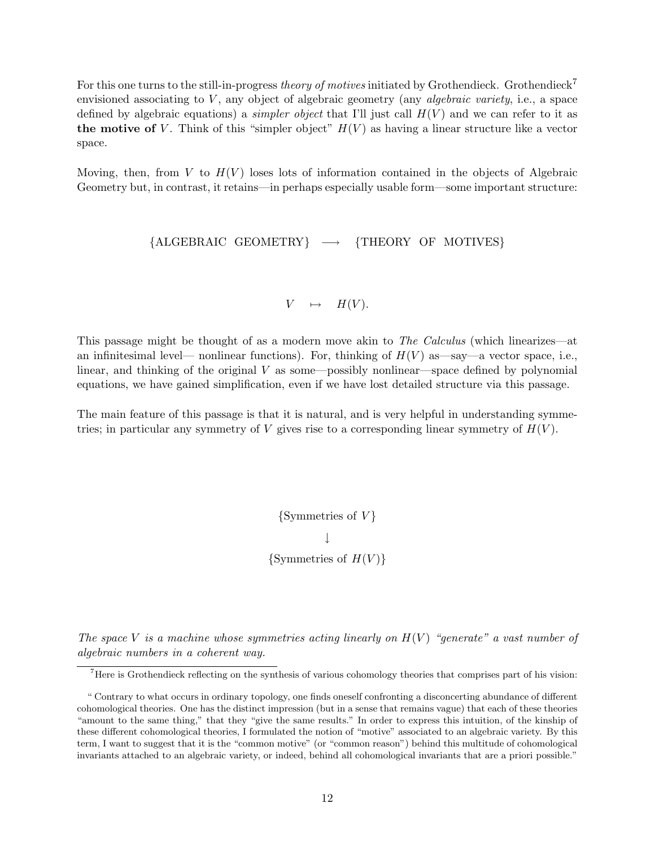For this one turns to the still-in-progress theory of motives initiated by Grothendieck. Grothendieck<sup>7</sup> envisioned associating to  $V$ , any object of algebraic geometry (any *algebraic variety*, i.e., a space defined by algebraic equations) a *simpler object* that I'll just call  $H(V)$  and we can refer to it as the motive of V. Think of this "simpler object"  $H(V)$  as having a linear structure like a vector space.

Moving, then, from V to  $H(V)$  loses lots of information contained in the objects of Algebraic Geometry but, in contrast, it retains—in perhaps especially usable form—some important structure:

 ${ALGEBRAIC GEOMETRY} \rightarrow {THEORY OF MOTIVES}$ 

$$
V \quad \mapsto \quad H(V).
$$

This passage might be thought of as a modern move akin to *The Calculus* (which linearizes—at an infinitesimal level— nonlinear functions). For, thinking of  $H(V)$  as—say—a vector space, i.e., linear, and thinking of the original  $V$  as some—possibly nonlinear—space defined by polynomial equations, we have gained simplification, even if we have lost detailed structure via this passage.

The main feature of this passage is that it is natural, and is very helpful in understanding symmetries; in particular any symmetry of V gives rise to a corresponding linear symmetry of  $H(V)$ .

> $\{Symmetries of V\}$  $\perp$ {Symmetries of  $H(V)$ }

The space V is a machine whose symmetries acting linearly on  $H(V)$  "generate" a vast number of algebraic numbers in a coherent way.

<sup>7</sup>Here is Grothendieck reflecting on the synthesis of various cohomology theories that comprises part of his vision:

<sup>&</sup>quot; Contrary to what occurs in ordinary topology, one finds oneself confronting a disconcerting abundance of different cohomological theories. One has the distinct impression (but in a sense that remains vague) that each of these theories "amount to the same thing," that they "give the same results." In order to express this intuition, of the kinship of these different cohomological theories, I formulated the notion of "motive" associated to an algebraic variety. By this term, I want to suggest that it is the "common motive" (or "common reason") behind this multitude of cohomological invariants attached to an algebraic variety, or indeed, behind all cohomological invariants that are a priori possible."